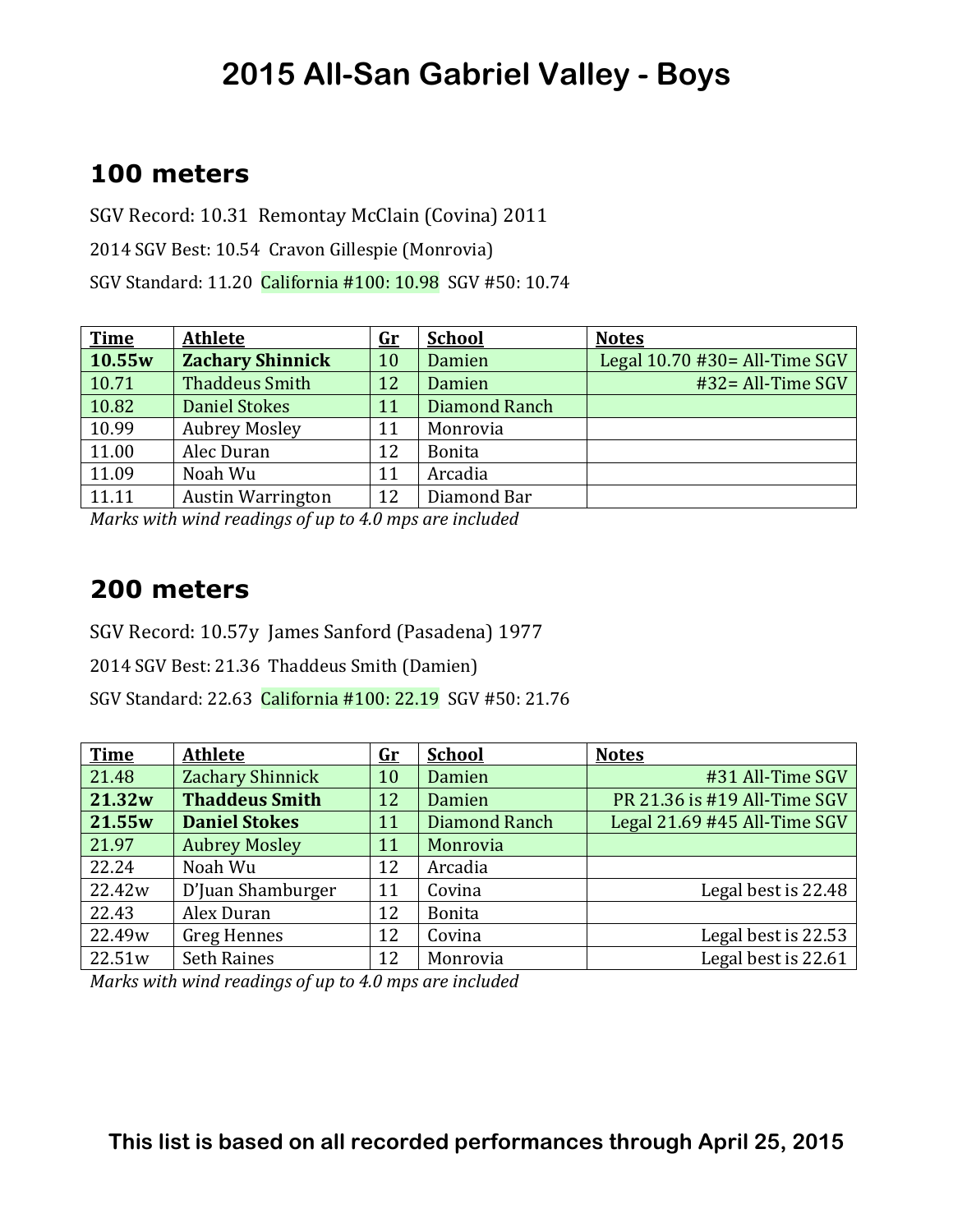### **100 meters**

SGV Record: 10.31 Remontay McClain (Covina) 2011 2014 SGV Best: 10.54 Cravon Gillespie (Monrovia) SGV Standard: 11.20 California #100: 10.98 SGV #50: 10.74

| <b>Time</b> | <b>Athlete</b>           | $\mathbf{G}\mathbf{r}$ | <b>School</b> | <b>Notes</b>                     |
|-------------|--------------------------|------------------------|---------------|----------------------------------|
| 10.55w      | <b>Zachary Shinnick</b>  | 10                     | Damien        | Legal $10.70$ #30 = All-Time SGV |
| 10.71       | <b>Thaddeus Smith</b>    | 12                     | Damien        | $#32 = All-Time SGV$             |
| 10.82       | <b>Daniel Stokes</b>     | 11                     | Diamond Ranch |                                  |
| 10.99       | <b>Aubrey Mosley</b>     | 11                     | Monrovia      |                                  |
| 11.00       | Alec Duran               | 12                     | <b>Bonita</b> |                                  |
| 11.09       | Noah Wu                  | 11                     | Arcadia       |                                  |
| 11.11       | <b>Austin Warrington</b> | 12                     | Diamond Bar   |                                  |

*Marks* with wind readings of up to 4.0 mps are included

#### **200 meters**

SGV Record: 10.57y James Sanford (Pasadena) 1977

2014 SGV Best: 21.36 Thaddeus Smith (Damien)

SGV Standard: 22.63 California #100: 22.19 SGV #50: 21.76

| <b>Time</b> | <b>Athlete</b>        | <u>Gr</u> | <b>School</b> | <b>Notes</b>                 |
|-------------|-----------------------|-----------|---------------|------------------------------|
| 21.48       | Zachary Shinnick      | 10        | Damien        | #31 All-Time SGV             |
| 21.32w      | <b>Thaddeus Smith</b> | 12        | Damien        | PR 21.36 is #19 All-Time SGV |
| 21.55w      | <b>Daniel Stokes</b>  | 11        | Diamond Ranch | Legal 21.69 #45 All-Time SGV |
| 21.97       | <b>Aubrey Mosley</b>  | 11        | Monrovia      |                              |
| 22.24       | Noah Wu               | 12        | Arcadia       |                              |
| 22.42w      | D'Juan Shamburger     | 11        | Covina        | Legal best is 22.48          |
| 22.43       | Alex Duran            | 12        | <b>Bonita</b> |                              |
| 22.49w      | <b>Greg Hennes</b>    | 12        | Covina        | Legal best is 22.53          |
| 22.51w      | <b>Seth Raines</b>    | 12        | Monrovia      | Legal best is 22.61          |

*Marks* with wind readings of up to 4.0 mps are included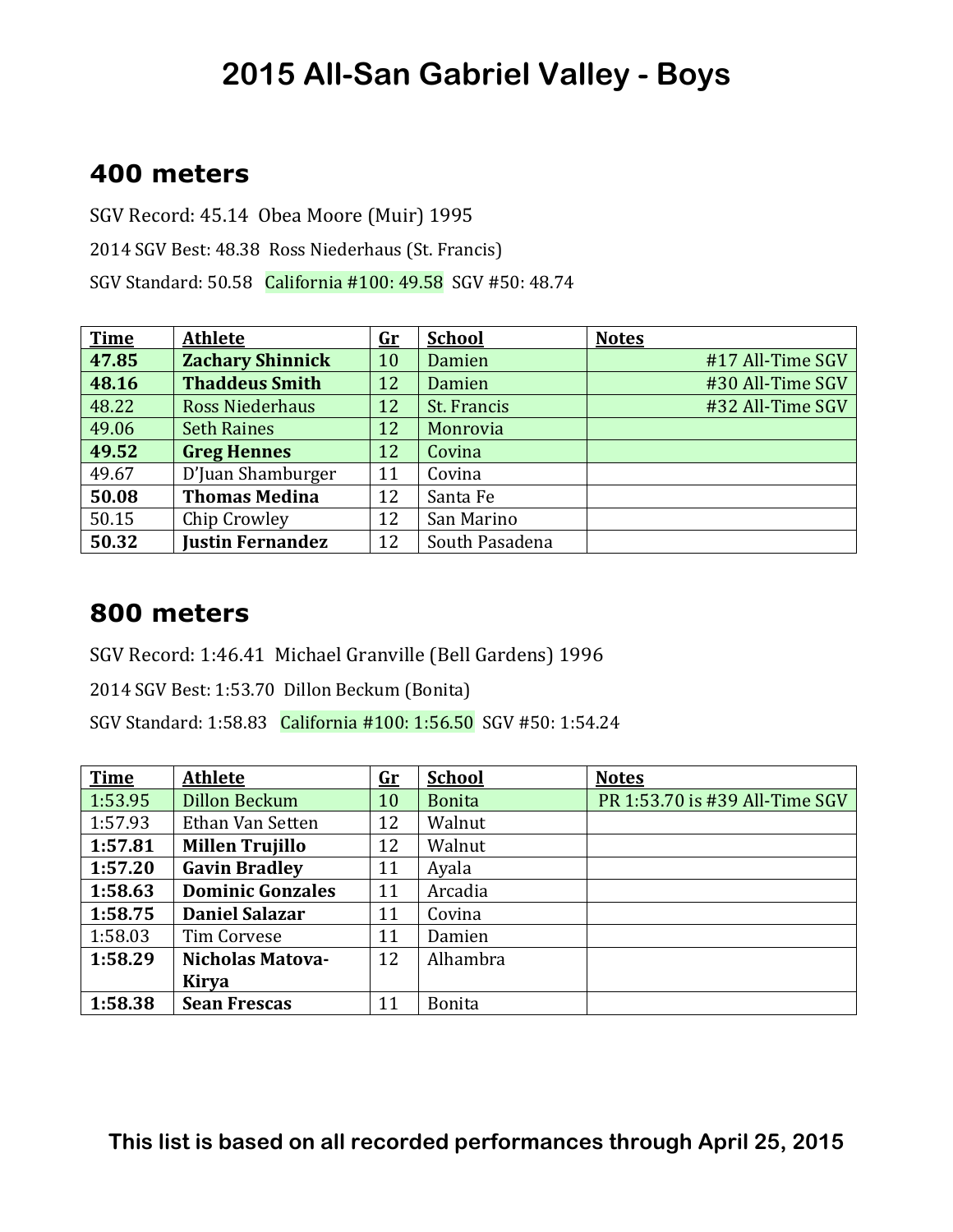#### **400 meters**

SGV Record: 45.14 Obea Moore (Muir) 1995 2014 SGV Best: 48.38 Ross Niederhaus (St. Francis) SGV Standard: 50.58 California #100: 49.58 SGV #50: 48.74

| <b>Time</b> | <b>Athlete</b>          | <u>Gr</u> | <b>School</b>  | <b>Notes</b>     |
|-------------|-------------------------|-----------|----------------|------------------|
| 47.85       | <b>Zachary Shinnick</b> | 10        | Damien         | #17 All-Time SGV |
| 48.16       | <b>Thaddeus Smith</b>   | 12        | Damien         | #30 All-Time SGV |
| 48.22       | <b>Ross Niederhaus</b>  | 12        | St. Francis    | #32 All-Time SGV |
| 49.06       | <b>Seth Raines</b>      | 12        | Monrovia       |                  |
| 49.52       | <b>Greg Hennes</b>      | 12        | Covina         |                  |
| 49.67       | D'Juan Shamburger       | 11        | Covina         |                  |
| 50.08       | <b>Thomas Medina</b>    | 12        | Santa Fe       |                  |
| 50.15       | Chip Crowley            | 12        | San Marino     |                  |
| 50.32       | <b>Justin Fernandez</b> | 12        | South Pasadena |                  |

#### **800 meters**

SGV Record: 1:46.41 Michael Granville (Bell Gardens) 1996

2014 SGV Best: 1:53.70 Dillon Beckum (Bonita)

SGV Standard: 1:58.83 California #100: 1:56.50 SGV #50: 1:54.24

| <b>Time</b> | <b>Athlete</b>          | $\mathbf{G}$ r | <b>School</b> | <b>Notes</b>                   |
|-------------|-------------------------|----------------|---------------|--------------------------------|
| 1:53.95     | <b>Dillon Beckum</b>    | 10             | <b>Bonita</b> | PR 1:53.70 is #39 All-Time SGV |
| 1:57.93     | Ethan Van Setten        | 12             | Walnut        |                                |
| 1:57.81     | <b>Millen Trujillo</b>  | 12             | Walnut        |                                |
| 1:57.20     | <b>Gavin Bradley</b>    | 11             | Ayala         |                                |
| 1:58.63     | <b>Dominic Gonzales</b> | 11             | Arcadia       |                                |
| 1:58.75     | <b>Daniel Salazar</b>   | 11             | Covina        |                                |
| 1:58.03     | <b>Tim Corvese</b>      | 11             | Damien        |                                |
| 1:58.29     | <b>Nicholas Matova-</b> | 12             | Alhambra      |                                |
|             | <b>Kirya</b>            |                |               |                                |
| 1:58.38     | <b>Sean Frescas</b>     | 11             | <b>Bonita</b> |                                |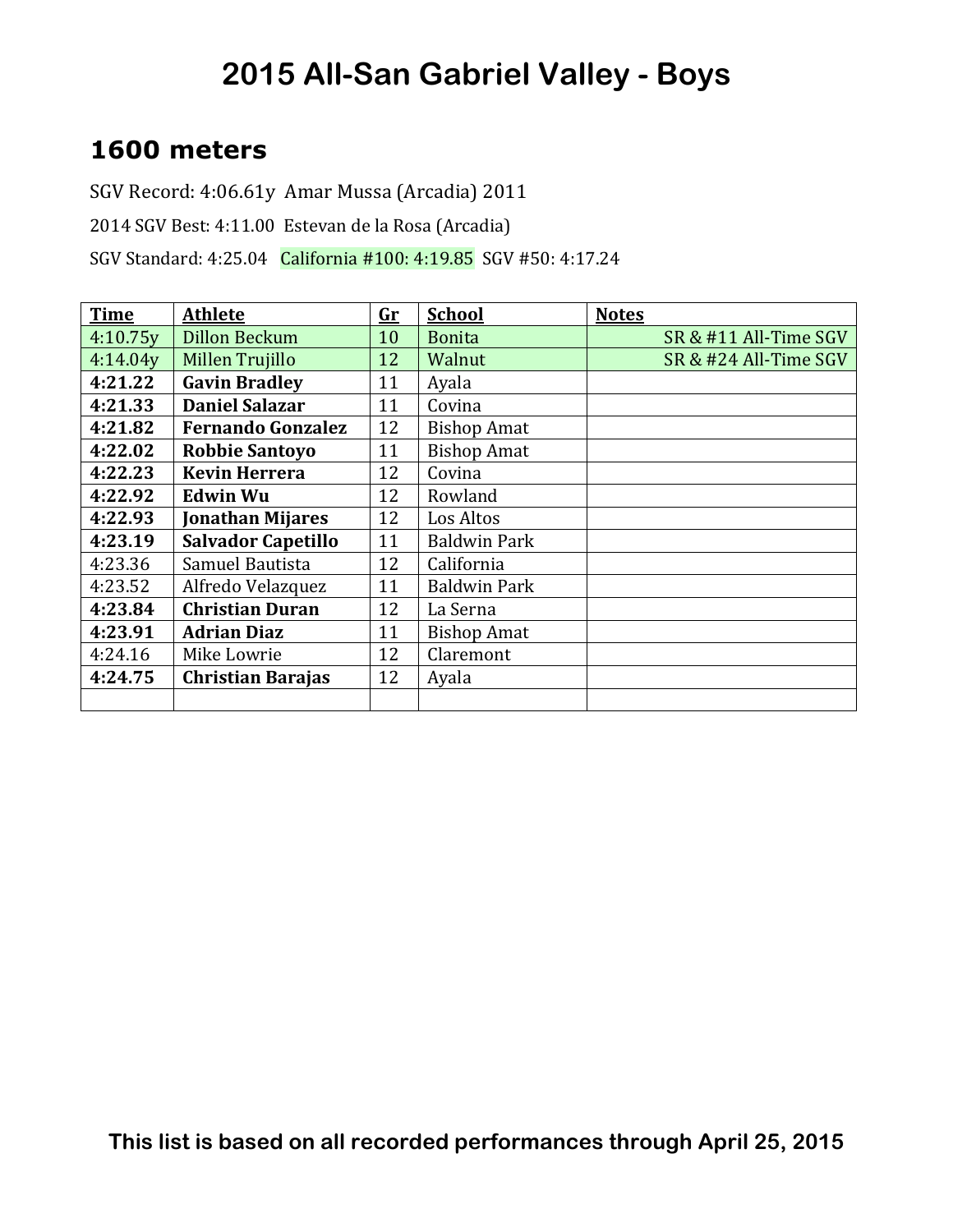### **1600 meters**

SGV Record: 4:06.61y Amar Mussa (Arcadia) 2011

2014 SGV Best: 4:11.00 Estevan de la Rosa (Arcadia)

SGV Standard: 4:25.04 California #100: 4:19.85 SGV #50: 4:17.24

| <b>Time</b> | <b>Athlete</b>            | $\mathbf{Gr}$ | <b>School</b>       | <b>Notes</b>          |
|-------------|---------------------------|---------------|---------------------|-----------------------|
| 4:10.75y    | <b>Dillon Beckum</b>      | 10            | <b>Bonita</b>       | SR & #11 All-Time SGV |
| 4:14.04y    | Millen Trujillo           | 12            | Walnut              | SR & #24 All-Time SGV |
| 4:21.22     | <b>Gavin Bradley</b>      | 11            | Ayala               |                       |
| 4:21.33     | <b>Daniel Salazar</b>     | 11            | Covina              |                       |
| 4:21.82     | <b>Fernando Gonzalez</b>  | 12            | <b>Bishop Amat</b>  |                       |
| 4:22.02     | <b>Robbie Santoyo</b>     | 11            | <b>Bishop Amat</b>  |                       |
| 4:22.23     | <b>Kevin Herrera</b>      | 12            | Covina              |                       |
| 4:22.92     | <b>Edwin Wu</b>           | 12            | Rowland             |                       |
| 4:22.93     | <b>Jonathan Mijares</b>   | 12            | Los Altos           |                       |
| 4:23.19     | <b>Salvador Capetillo</b> | 11            | <b>Baldwin Park</b> |                       |
| 4:23.36     | Samuel Bautista           | 12            | California          |                       |
| 4:23.52     | Alfredo Velazquez         | 11            | <b>Baldwin Park</b> |                       |
| 4:23.84     | <b>Christian Duran</b>    | 12            | La Serna            |                       |
| 4:23.91     | <b>Adrian Diaz</b>        | 11            | <b>Bishop Amat</b>  |                       |
| 4:24.16     | Mike Lowrie               | 12            | Claremont           |                       |
| 4:24.75     | <b>Christian Barajas</b>  | 12            | Ayala               |                       |
|             |                           |               |                     |                       |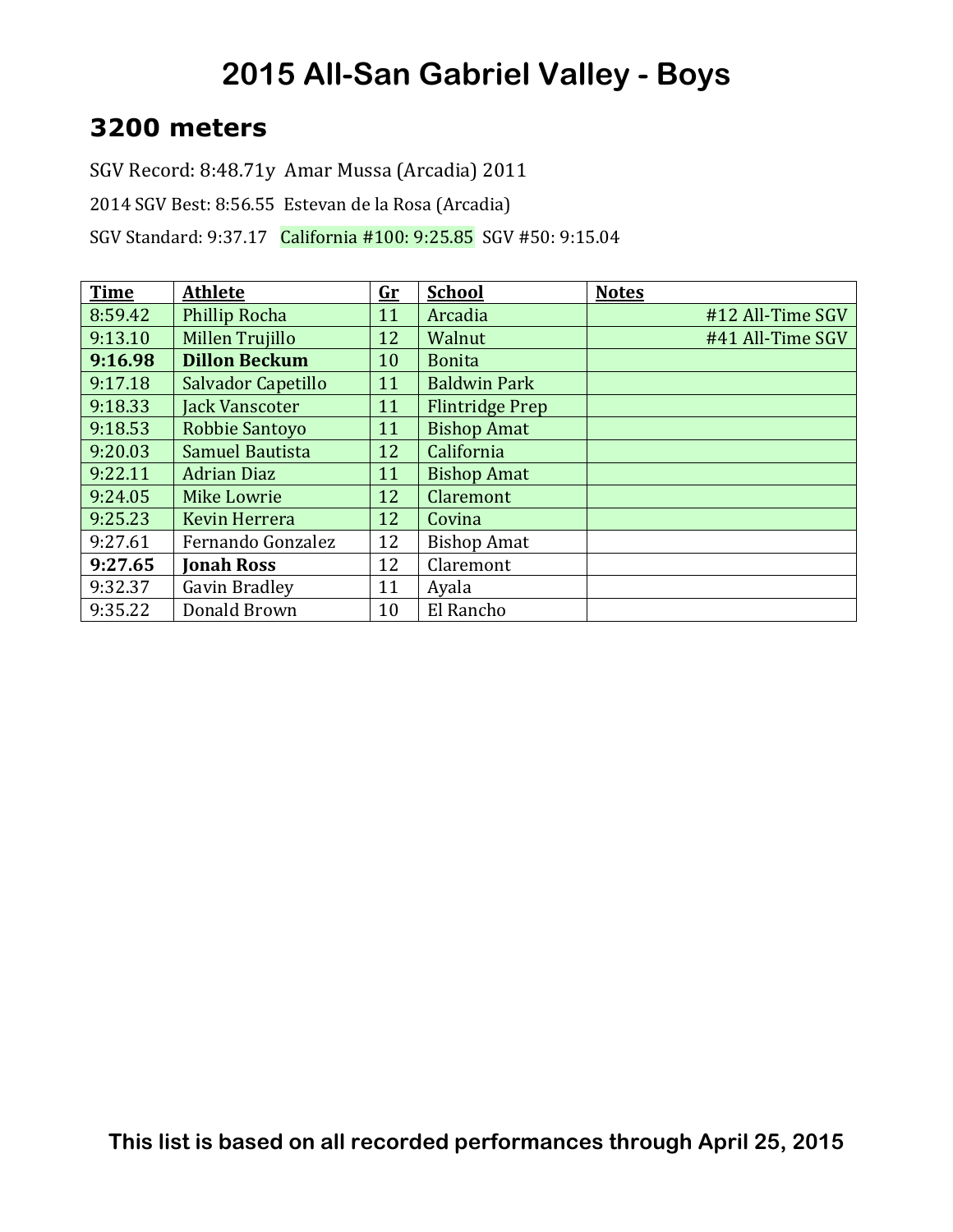#### **3200 meters**

SGV Record: 8:48.71y Amar Mussa (Arcadia) 2011

2014 SGV Best: 8:56.55 Estevan de la Rosa (Arcadia)

SGV Standard: 9:37.17 California #100: 9:25.85 SGV #50: 9:15.04

| <b>Time</b> | <b>Athlete</b>        | $G_{r}$ | <b>School</b>          | <b>Notes</b>     |
|-------------|-----------------------|---------|------------------------|------------------|
| 8:59.42     | Phillip Rocha         | 11      | Arcadia                | #12 All-Time SGV |
| 9:13.10     | Millen Trujillo       | 12      | Walnut                 | #41 All-Time SGV |
| 9:16.98     | <b>Dillon Beckum</b>  | 10      | <b>Bonita</b>          |                  |
| 9:17.18     | Salvador Capetillo    | 11      | <b>Baldwin Park</b>    |                  |
| 9:18.33     | <b>Jack Vanscoter</b> | 11      | <b>Flintridge Prep</b> |                  |
| 9:18.53     | Robbie Santoyo        | 11      | <b>Bishop Amat</b>     |                  |
| 9:20.03     | Samuel Bautista       | 12      | California             |                  |
| 9:22.11     | <b>Adrian Diaz</b>    | 11      | <b>Bishop Amat</b>     |                  |
| 9:24.05     | <b>Mike Lowrie</b>    | 12      | Claremont              |                  |
| 9:25.23     | <b>Kevin Herrera</b>  | 12      | Covina                 |                  |
| 9:27.61     | Fernando Gonzalez     | 12      | <b>Bishop Amat</b>     |                  |
| 9:27.65     | <b>Jonah Ross</b>     | 12      | Claremont              |                  |
| 9:32.37     | Gavin Bradley         | 11      | Ayala                  |                  |
| 9:35.22     | Donald Brown          | 10      | El Rancho              |                  |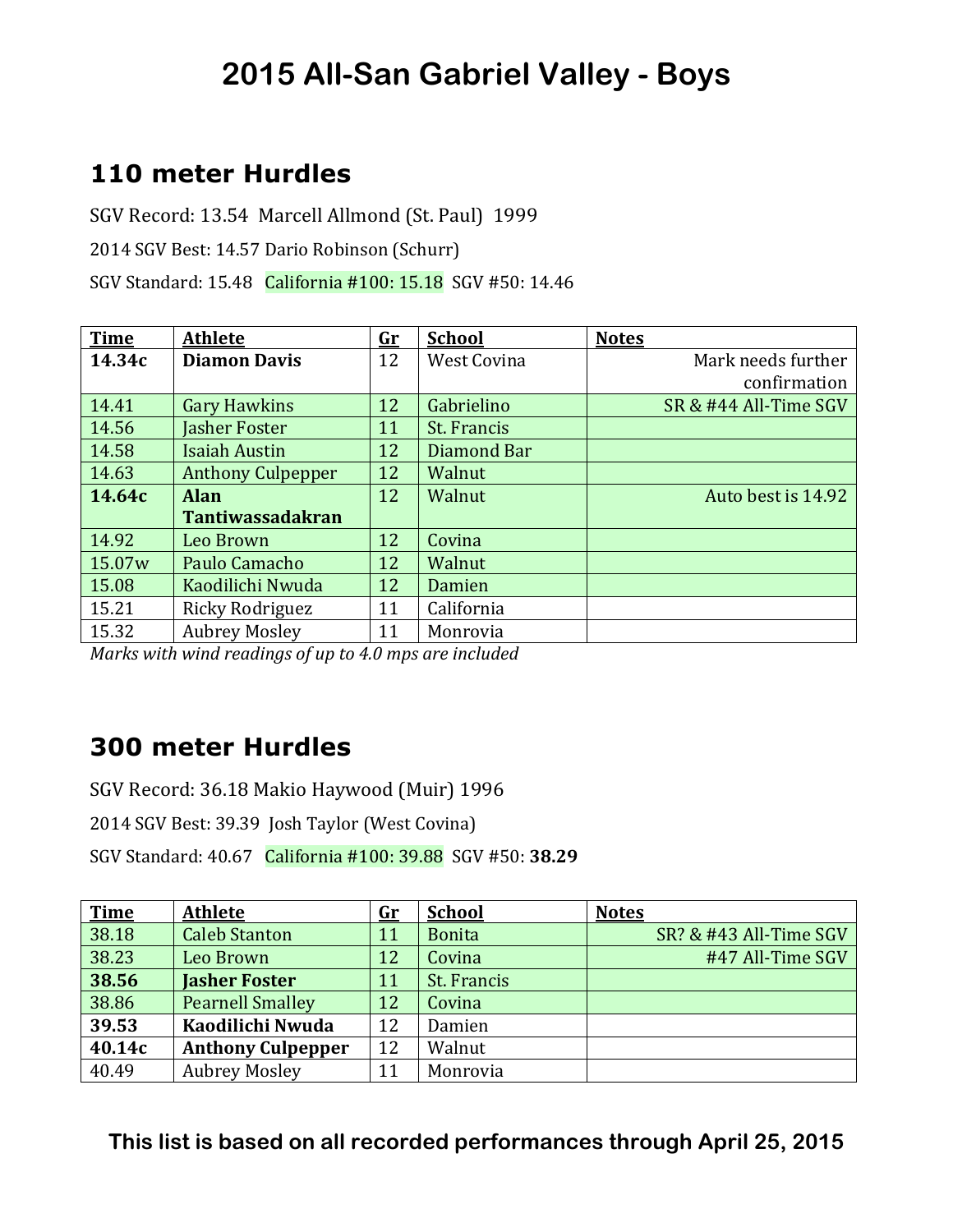### **110 meter Hurdles**

SGV Record: 13.54 Marcell Allmond (St. Paul) 1999 2014 SGV Best: 14.57 Dario Robinson (Schurr) SGV Standard: 15.48 California #100: 15.18 SGV #50: 14.46

| <b>Time</b> | <b>Athlete</b>           | <u>Gr</u> | <b>School</b>      | <b>Notes</b>          |
|-------------|--------------------------|-----------|--------------------|-----------------------|
| 14.34c      | <b>Diamon Davis</b>      | 12        | <b>West Covina</b> | Mark needs further    |
|             |                          |           |                    | confirmation          |
| 14.41       | <b>Gary Hawkins</b>      | 12        | Gabrielino         | SR & #44 All-Time SGV |
| 14.56       | Jasher Foster            | 11        | St. Francis        |                       |
| 14.58       | <b>Isaiah Austin</b>     | 12        | Diamond Bar        |                       |
| 14.63       | <b>Anthony Culpepper</b> | 12        | Walnut             |                       |
| 14.64c      | <b>Alan</b>              | 12        | Walnut             | Auto best is 14.92    |
|             | <b>Tantiwassadakran</b>  |           |                    |                       |
| 14.92       | Leo Brown                | 12        | Covina             |                       |
| 15.07w      | Paulo Camacho            | 12        | Walnut             |                       |
| 15.08       | Kaodilichi Nwuda         | 12        | Damien             |                       |
| 15.21       | Ricky Rodriguez          | 11        | California         |                       |
| 15.32       | <b>Aubrey Mosley</b>     | 11        | Monrovia           |                       |

*Marks* with wind readings of up to 4.0 mps are included

#### **300 meter Hurdles**

SGV Record: 36.18 Makio Haywood (Muir) 1996

2014 SGV Best: 39.39 Josh Taylor (West Covina)

SGV Standard: 40.67 California #100: 39.88 SGV #50: **38.29**

| <b>Time</b> | <b>Athlete</b>           | $\mathbf{G}$ r | <b>School</b> | <b>Notes</b>           |
|-------------|--------------------------|----------------|---------------|------------------------|
| 38.18       | <b>Caleb Stanton</b>     | 11             | <b>Bonita</b> | SR? & #43 All-Time SGV |
| 38.23       | Leo Brown                | 12             | Covina        | #47 All-Time SGV       |
| 38.56       | <b>Jasher Foster</b>     | 11             | St. Francis   |                        |
| 38.86       | <b>Pearnell Smalley</b>  | 12             | Covina        |                        |
| 39.53       | Kaodilichi Nwuda         | 12             | Damien        |                        |
| 40.14c      | <b>Anthony Culpepper</b> | 12             | Walnut        |                        |
| 40.49       | <b>Aubrey Mosley</b>     | 11             | Monrovia      |                        |

**This list is based on all recorded performances through April 25, 2015**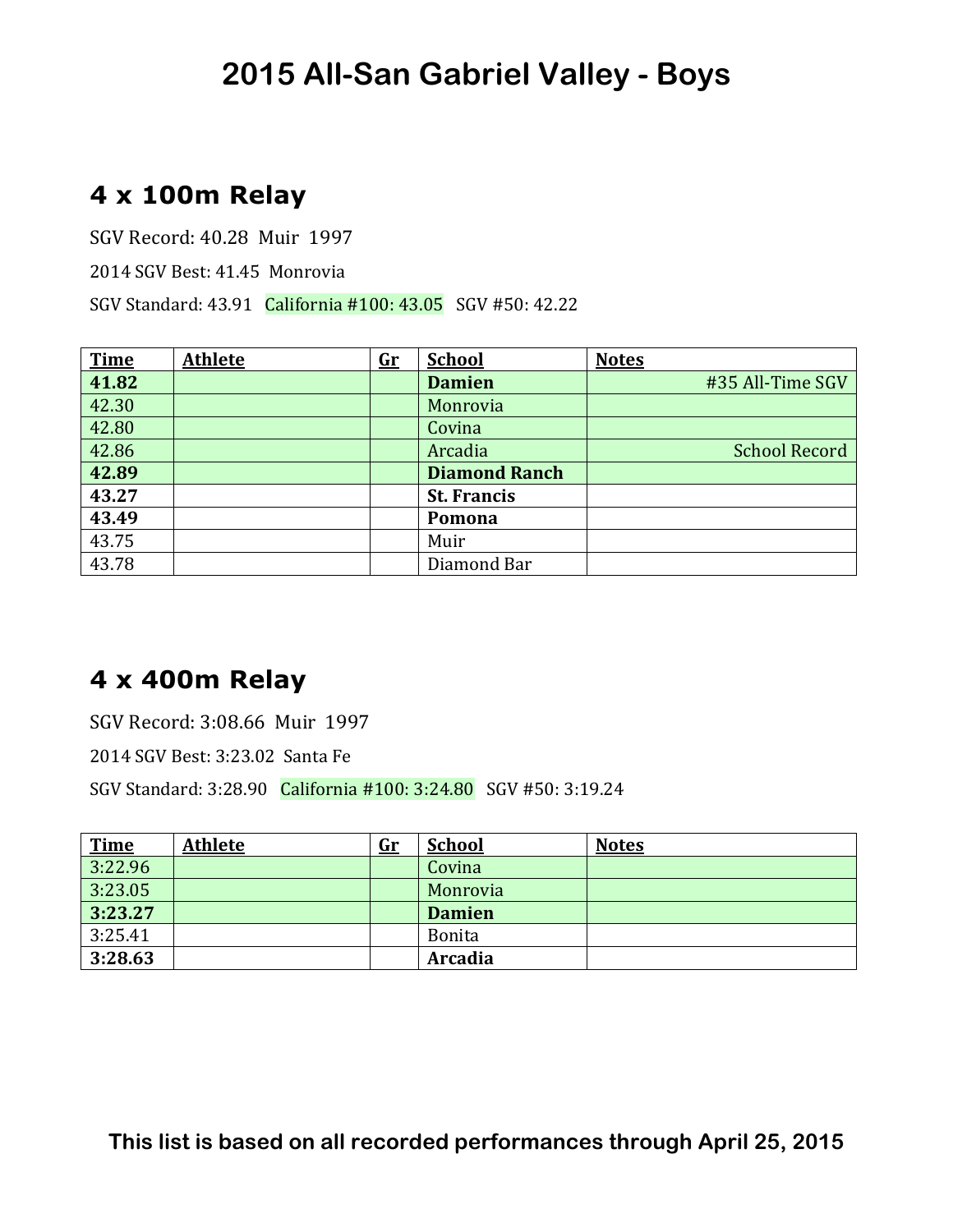### **4 x 100m Relay**

SGV Record: 40.28 Muir 1997

2014 SGV Best: 41.45 Monrovia

SGV Standard: 43.91 California #100: 43.05 SGV #50: 42.22

| <b>Time</b> | <b>Athlete</b> | $\mathbf{G}$ r | <b>School</b>        | <b>Notes</b>         |
|-------------|----------------|----------------|----------------------|----------------------|
| 41.82       |                |                | <b>Damien</b>        | #35 All-Time SGV     |
| 42.30       |                |                | Monrovia             |                      |
| 42.80       |                |                | Covina               |                      |
| 42.86       |                |                | Arcadia              | <b>School Record</b> |
| 42.89       |                |                | <b>Diamond Ranch</b> |                      |
| 43.27       |                |                | <b>St. Francis</b>   |                      |
| 43.49       |                |                | Pomona               |                      |
| 43.75       |                |                | Muir                 |                      |
| 43.78       |                |                | Diamond Bar          |                      |

### **4 x 400m Relay**

SGV Record: 3:08.66 Muir 1997

2014 SGV Best: 3:23.02 Santa Fe

SGV Standard: 3:28.90 California #100: 3:24.80 SGV #50: 3:19.24

| <b>Time</b> | <b>Athlete</b> | <u>Gr</u> | <b>School</b> | <b>Notes</b> |
|-------------|----------------|-----------|---------------|--------------|
| 3:22.96     |                |           | Covina        |              |
| 3:23.05     |                |           | Monrovia      |              |
| 3:23.27     |                |           | <b>Damien</b> |              |
| 3:25.41     |                |           | <b>Bonita</b> |              |
| 3:28.63     |                |           | Arcadia       |              |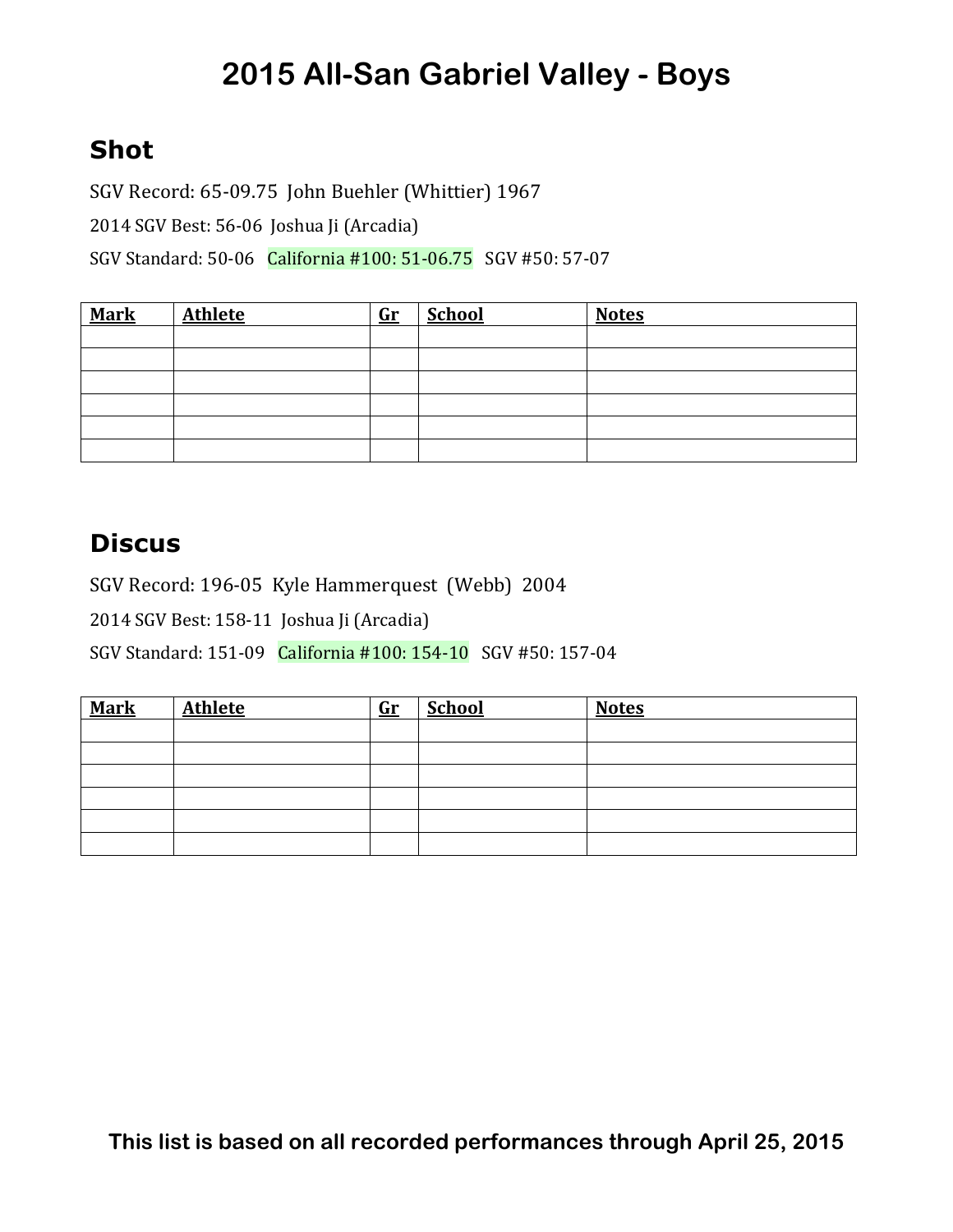### **Shot**

SGV Record: 65-09.75 John Buehler (Whittier) 1967 2014 SGV Best: 56-06 Joshua Ji (Arcadia) SGV Standard: 50-06 California #100: 51-06.75 SGV #50: 57-07

| <b>Mark</b> | <b>Athlete</b> | $\mathbf{G}\mathbf{r}$ | <b>School</b> | <b>Notes</b> |
|-------------|----------------|------------------------|---------------|--------------|
|             |                |                        |               |              |
|             |                |                        |               |              |
|             |                |                        |               |              |
|             |                |                        |               |              |
|             |                |                        |               |              |
|             |                |                        |               |              |

#### **Discus**

SGV Record: 196-05 Kyle Hammerquest (Webb) 2004

2014 SGV Best: 158-11 Joshua Ji (Arcadia)

SGV Standard: 151-09 California #100: 154-10 SGV #50: 157-04

| <b>Mark</b> | <b>Athlete</b> | $G_{r}$ | <b>School</b> | <b>Notes</b> |
|-------------|----------------|---------|---------------|--------------|
|             |                |         |               |              |
|             |                |         |               |              |
|             |                |         |               |              |
|             |                |         |               |              |
|             |                |         |               |              |
|             |                |         |               |              |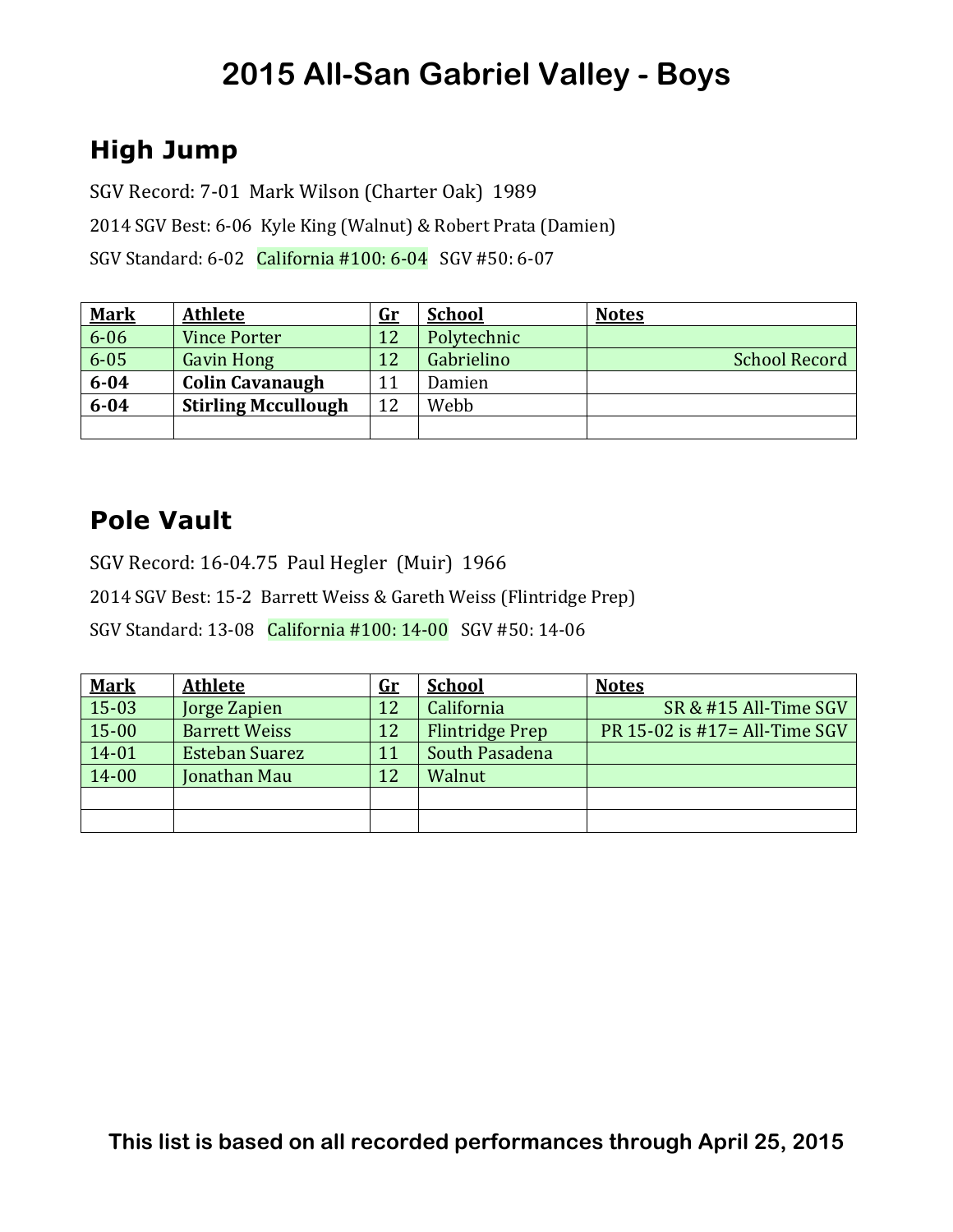### **High Jump**

SGV Record: 7-01 Mark Wilson (Charter Oak) 1989

2014 SGV Best: 6-06 Kyle King (Walnut) & Robert Prata (Damien)

SGV Standard: 6-02 California #100: 6-04 SGV #50: 6-07

| <b>Mark</b> | <b>Athlete</b>             | <u>Gr</u> | <b>School</b> | <b>Notes</b>         |
|-------------|----------------------------|-----------|---------------|----------------------|
| $6 - 06$    | <b>Vince Porter</b>        | 12        | Polytechnic   |                      |
| $6 - 05$    | <b>Gavin Hong</b>          | 12        | Gabrielino    | <b>School Record</b> |
| $6 - 04$    | <b>Colin Cavanaugh</b>     | 11        | Damien        |                      |
| $6 - 04$    | <b>Stirling Mccullough</b> | 12        | Webb          |                      |
|             |                            |           |               |                      |

### **Pole Vault**

SGV Record: 16-04.75 Paul Hegler (Muir) 1966

2014 SGV Best: 15-2 Barrett Weiss & Gareth Weiss (Flintridge Prep)

SGV Standard: 13-08 California #100: 14-00 SGV #50: 14-06

| <b>Mark</b> | <b>Athlete</b>        | <u>Gr</u> | <b>School</b>          | <b>Notes</b>                  |
|-------------|-----------------------|-----------|------------------------|-------------------------------|
| 15-03       | Jorge Zapien          | 12        | California             | SR & #15 All-Time SGV         |
| 15-00       | <b>Barrett Weiss</b>  | 12        | <b>Flintridge Prep</b> | PR 15-02 is #17= All-Time SGV |
| 14-01       | <b>Esteban Suarez</b> | 11        | South Pasadena         |                               |
| 14-00       | Jonathan Mau          | 12        | Walnut                 |                               |
|             |                       |           |                        |                               |
|             |                       |           |                        |                               |